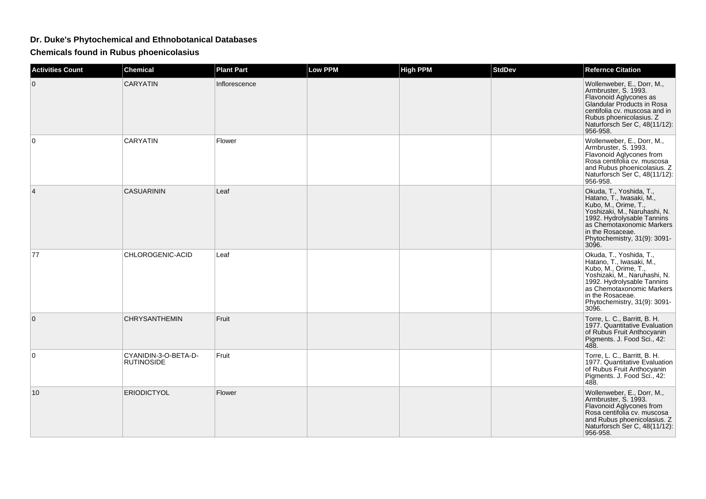## **Dr. Duke's Phytochemical and Ethnobotanical Databases**

**Chemicals found in Rubus phoenicolasius**

| <b>Activities Count</b> | <b>Chemical</b>                           | <b>Plant Part</b> | <b>Low PPM</b> | <b>High PPM</b> | <b>StdDev</b> | <b>Refernce Citation</b>                                                                                                                                                                                                            |
|-------------------------|-------------------------------------------|-------------------|----------------|-----------------|---------------|-------------------------------------------------------------------------------------------------------------------------------------------------------------------------------------------------------------------------------------|
| $\mathbf 0$             | <b>CARYATIN</b>                           | Inflorescence     |                |                 |               | Wollenweber, E., Dorr, M.,<br>Armbruster, S. 1993.<br>Flavonoid Aglycones as<br>Glandular Products in Rosa<br>centifolia cv. muscosa and in<br>Rubus phoenicolasius. Z<br>Naturforsch Ser C, 48(11/12):<br>956-958.                 |
| $\mathbf 0$             | CARYATIN                                  | Flower            |                |                 |               | Wollenweber, E., Dorr, M.,<br>Armbruster, S. 1993.<br>Flavonoid Aglycones from<br>Rosa centifolia cv. muscosa<br>and Rubus phoenicolasius. Z<br>Naturforsch Ser C, 48(11/12):<br>956-958.                                           |
| $\overline{4}$          | <b>CASUARININ</b>                         | Leaf              |                |                 |               | Okuda, T., Yoshida, T.,<br>Hatano, T., Iwasaki, M.,<br>Kubo, M., Orime, T.,<br>Yoshizaki, M., Naruhashi, N.<br>1992. Hydrolysable Tannins<br>as Chemotaxonomic Markers<br>in the Rosaceae.<br>Phytochemistry, 31(9): 3091-<br>3096. |
| 77                      | CHLOROGENIC-ACID                          | Leaf              |                |                 |               | Okuda, T., Yoshida, T.,<br>Hatano, T., Iwasaki, M.,<br>Kubo, M., Orime, T.,<br>Yoshizaki, M., Naruhashi, N.<br>1992. Hydrolysable Tannins<br>as Chemotaxonomic Markers<br>in the Rosaceae.<br>Phytochemistry, 31(9): 3091-<br>3096. |
| $\mathbf{0}$            | CHRYSANTHEMIN                             | Fruit             |                |                 |               | Torre, L. C., Barritt, B. H.<br>1977. Quantitative Evaluation<br>of Rubus Fruit Anthocyanin<br>Pigments. J. Food Sci., 42:                                                                                                          |
| 0                       | CYANIDIN-3-O-BETA-D-<br><b>RUTINOSIDE</b> | Fruit             |                |                 |               | Torre, L. C., Barritt, B. H.<br>1977. Quantitative Evaluation<br>of Rubus Fruit Anthocyanin<br>Pigments. J. Food Sci., 42:<br>488.                                                                                                  |
| 10                      | <b>ERIODICTYOL</b>                        | Flower            |                |                 |               | Wollenweber, E., Dorr, M.,<br>Armbruster, S. 1993.<br>Flavonoid Aglycones from<br>Rosa centifolia cv. muscosa<br>and Rubus phoenicolasius. Z<br>Naturforsch Ser C, 48(11/12):<br>956-958.                                           |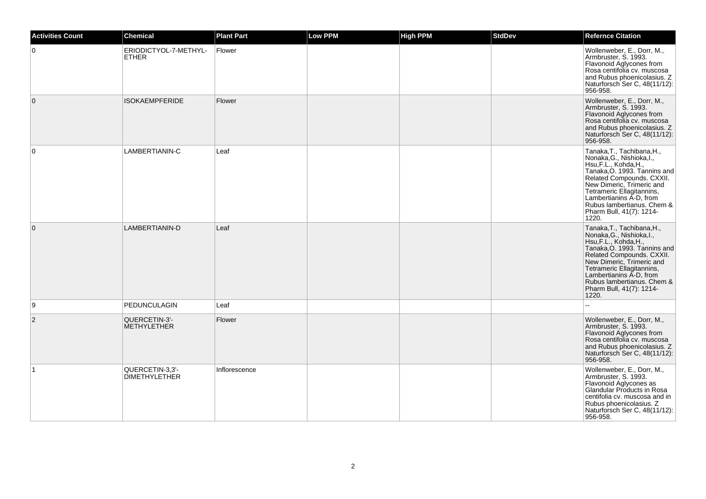| <b>Activities Count</b> | <b>Chemical</b>                         | <b>Plant Part</b> | <b>Low PPM</b> | <b>High PPM</b> | <b>StdDev</b> | <b>Refernce Citation</b>                                                                                                                                                                                                                                                                              |
|-------------------------|-----------------------------------------|-------------------|----------------|-----------------|---------------|-------------------------------------------------------------------------------------------------------------------------------------------------------------------------------------------------------------------------------------------------------------------------------------------------------|
| $\mathbf 0$             | ERIODICTYOL-7-METHYL-<br><b>ETHER</b>   | Flower            |                |                 |               | Wollenweber, E., Dorr, M.,<br>Armbruster, S. 1993.<br>Flavonoid Aglycones from<br>Rosa centifolia cv. muscosa<br>and Rubus phoenicolasius. Z<br>Naturforsch Ser C, 48(11/12):<br>956-958.                                                                                                             |
| $\mathbf 0$             | <b>ISOKAEMPFERIDE</b>                   | Flower            |                |                 |               | Wollenweber, E., Dorr, M.,<br>Armbruster, S. 1993.<br>Flavonoid Aglycones from<br>Rosa centifolia cv. muscosa<br>and Rubus phoenicolasius. Z<br>Naturforsch Ser C, 48(11/12):<br>956-958.                                                                                                             |
| $\mathbf 0$             | LAMBERTIANIN-C                          | Leaf              |                |                 |               | Tanaka, T., Tachibana, H.,<br>Nonaka, G., Nishioka, I.,<br>Hsu, F.L., Kohda, H.,<br>Tanaka, O. 1993. Tannins and<br>Related Compounds. CXXII.<br>New Dimeric, Trimeric and<br>Tetrameric Ellagitannins,<br>Lambertianins A-D, from<br>Rubus lambertianus, Chem &<br>Pharm Bull, 41(7): 1214-<br>1220. |
| $\mathbf{0}$            | LAMBERTIANIN-D                          | Leaf              |                |                 |               | Tanaka, T., Tachibana, H.,<br>Nonaka, G., Nishioka, I.,<br>Hsu, F.L., Kohda, H.,<br>Tanaka, O. 1993. Tannins and<br>Related Compounds. CXXII.<br>New Dimeric, Trimeric and<br>Tetrameric Ellagitannins,<br>Lambertianins A-D, from<br>Rubus lambertianus. Chem &<br>Pharm Bull, 41(7): 1214-<br>1220. |
| 9                       | PEDUNCULAGIN                            | Leaf              |                |                 |               |                                                                                                                                                                                                                                                                                                       |
| 2                       | QUERCETIN-3'-<br><b>METHYLETHER</b>     | Flower            |                |                 |               | Wollenweber, E., Dorr, M.,<br>Armbruster, S. 1993.<br>Flavonoid Aglycones from<br>Rosa centifolia cv. muscosa<br>and Rubus phoenicolasius. Z<br>Naturforsch Ser C, 48(11/12):<br>956-958.                                                                                                             |
| $\mathbf 1$             | QUERCETIN-3.3'-<br><b>DIMETHYLETHER</b> | Inflorescence     |                |                 |               | Wollenweber, E., Dorr, M.,<br>Armbruster, S. 1993.<br>Flavonoid Aglycones as<br>Glandular Products in Rosa<br>centifolia cv. muscosa and in<br>Rubus phoenicolasius. Z<br>Naturforsch Ser C, 48(11/12):<br>956-958.                                                                                   |